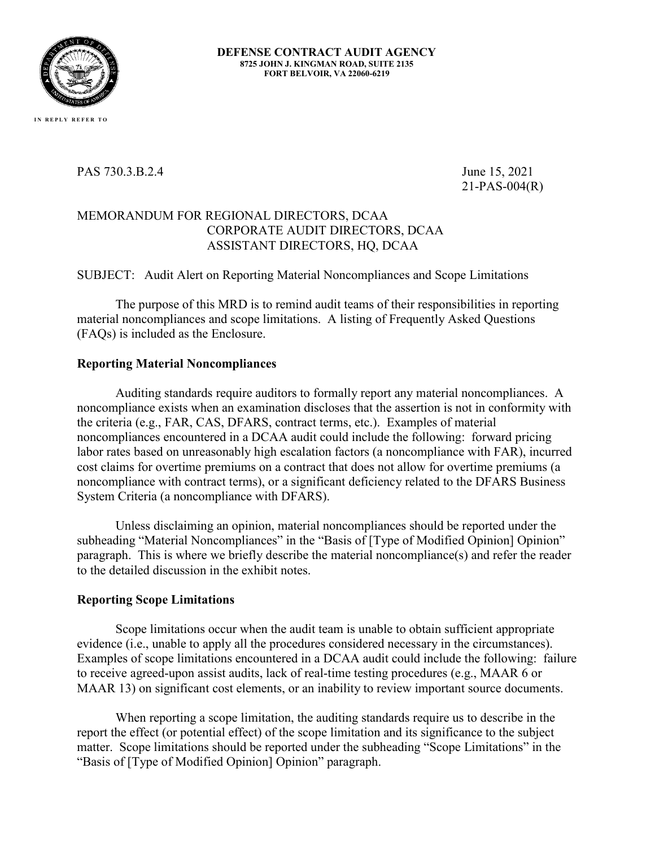

#### **DEFENSE CONTRACT AUDIT AGENCY 8725 JOHN J. KINGMAN ROAD, SUITE 2135 FORT BELVOIR, VA 22060-6219**

PAS 730.3.B.2.4 June 15, 2021

21-PAS-004(R)

## MEMORANDUM FOR REGIONAL DIRECTORS, DCAA CORPORATE AUDIT DIRECTORS, DCAA ASSISTANT DIRECTORS, HQ, DCAA

### SUBJECT: Audit Alert on Reporting Material Noncompliances and Scope Limitations

The purpose of this MRD is to remind audit teams of their responsibilities in reporting material noncompliances and scope limitations. A listing of Frequently Asked Questions (FAQs) is included as the Enclosure.

#### **Reporting Material Noncompliances**

Auditing standards require auditors to formally report any material noncompliances. A noncompliance exists when an examination discloses that the assertion is not in conformity with the criteria (e.g., FAR, CAS, DFARS, contract terms, etc.). Examples of material noncompliances encountered in a DCAA audit could include the following: forward pricing labor rates based on unreasonably high escalation factors (a noncompliance with FAR), incurred cost claims for overtime premiums on a contract that does not allow for overtime premiums (a noncompliance with contract terms), or a significant deficiency related to the DFARS Business System Criteria (a noncompliance with DFARS).

Unless disclaiming an opinion, material noncompliances should be reported under the subheading "Material Noncompliances" in the "Basis of [Type of Modified Opinion] Opinion" paragraph. This is where we briefly describe the material noncompliance(s) and refer the reader to the detailed discussion in the exhibit notes.

#### **Reporting Scope Limitations**

Scope limitations occur when the audit team is unable to obtain sufficient appropriate evidence (i.e., unable to apply all the procedures considered necessary in the circumstances). Examples of scope limitations encountered in a DCAA audit could include the following: failure to receive agreed-upon assist audits, lack of real-time testing procedures (e.g., MAAR 6 or MAAR 13) on significant cost elements, or an inability to review important source documents.

When reporting a scope limitation, the auditing standards require us to describe in the report the effect (or potential effect) of the scope limitation and its significance to the subject matter. Scope limitations should be reported under the subheading "Scope Limitations" in the "Basis of [Type of Modified Opinion] Opinion" paragraph.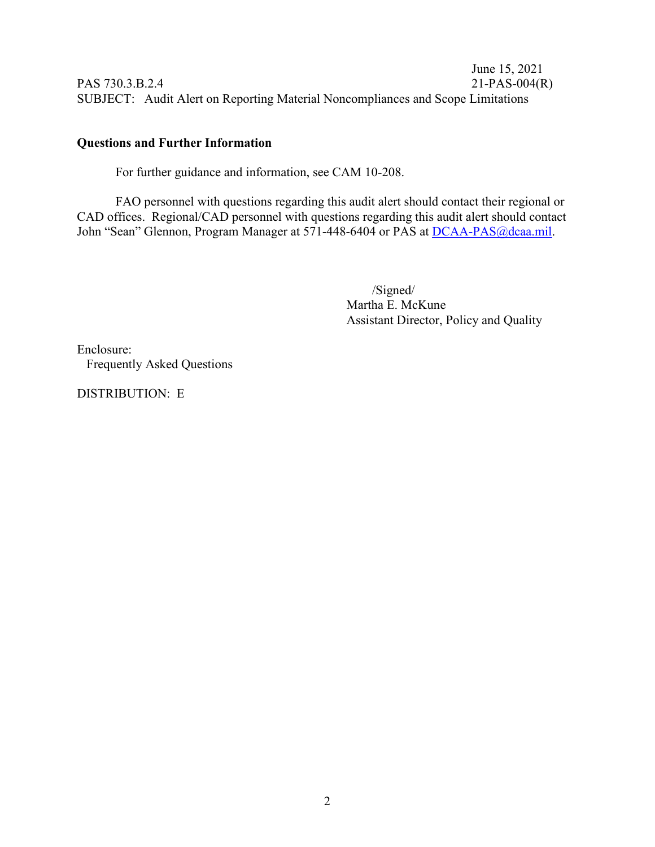June 15, 2021 PAS 730.3.B.2.4 21-PAS-004(R) SUBJECT: Audit Alert on Reporting Material Noncompliances and Scope Limitations

# **Questions and Further Information**

For further guidance and information, see CAM 10-208.

FAO personnel with questions regarding this audit alert should contact their regional or CAD offices. Regional/CAD personnel with questions regarding this audit alert should contact John "Sean" Glennon, Program Manager at 571-448-6404 or PAS at DCAA-PAS@dcaa.mil.

> /Signed/ Martha E. McKune Assistant Director, Policy and Quality

Enclosure: Frequently Asked Questions

DISTRIBUTION: E